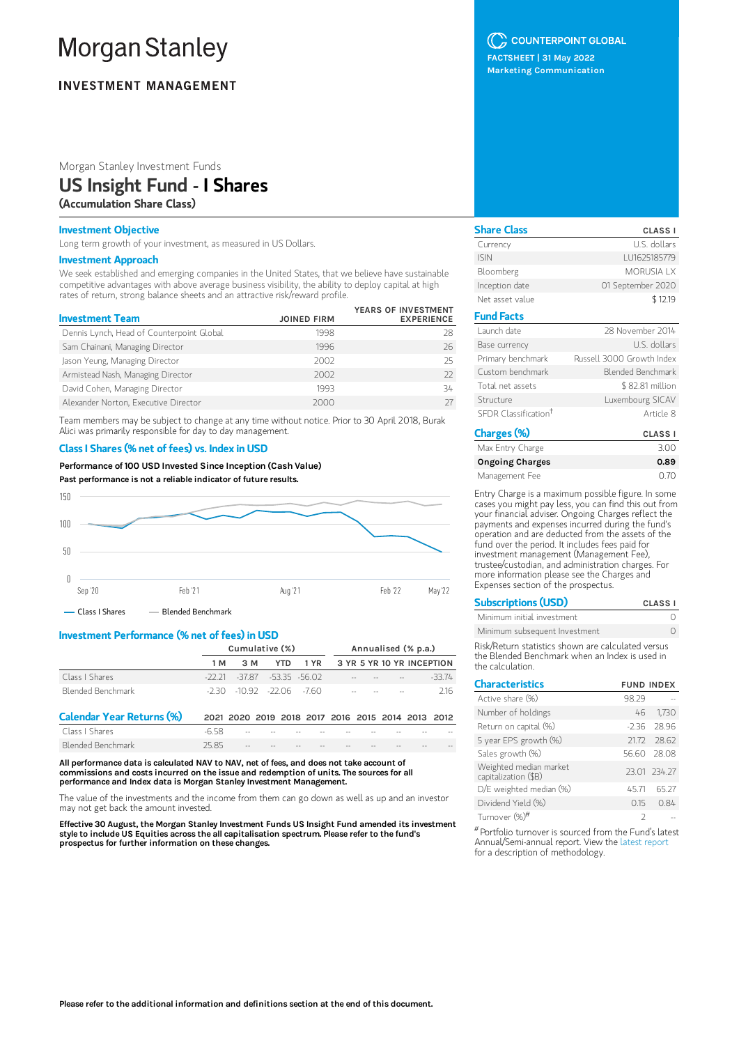# **Morgan Stanley**

## **INVESTMENT MANAGEMENT**

## Morgan Stanley Investment Funds

## US Insight Fund - I Shares

(Accumulation Share Class)

## Investment Objective

Long term growth of your investment, as measured in US Dollars.

#### Investment Approach

We seek established and emerging companies in the United States, that we believe have sustainable competitive advantages with above average business visibility, the ability to deploy capital at high rates of return, strong balance sheets and an attractive risk/reward profile.

|                                           |                    | YEARS OF INVESTMENT |
|-------------------------------------------|--------------------|---------------------|
| <b>Investment Team</b>                    | <b>JOINED FIRM</b> | <b>EXPERIENCE</b>   |
| Dennis Lynch, Head of Counterpoint Global | 1998               | 28                  |
| Sam Chainani, Managing Director           | 1996               | 26                  |
| Jason Yeung, Managing Director            | 2002               | 25                  |
| Armistead Nash, Managing Director         | 2002               | 77                  |
| David Cohen, Managing Director            | 1993               | 34                  |
| Alexander Norton, Executive Director      | 2000               |                     |

Team members may be subject to change at any time without notice. Prior to 30 April 2018, Burak Alici was primarily responsible for day to day management.

## Class I Shares (% net of fees) vs. Index in USD

Performance of 100 USD Invested Since Inception (Cash Value) Past performance is not a reliable indicator of future results.



## Investment Performance (% net of fees) in USD

Blended Benchmark 25.85

|                                  | Cumulative (%) |                                  |            |                                                   | Annualised (% p.a.) |  |  |                           |         |
|----------------------------------|----------------|----------------------------------|------------|---------------------------------------------------|---------------------|--|--|---------------------------|---------|
|                                  | 1 M            | 3 M                              | <b>YTD</b> | 1 YR                                              |                     |  |  | 3 YR 5 YR 10 YR INCEPTION |         |
| Class I Shares                   |                | $-22.21 - 37.87 - 53.35 - 56.02$ |            |                                                   |                     |  |  |                           | $-3374$ |
| Blended Benchmark                |                | -230 -1092 -2206 -760            |            |                                                   |                     |  |  |                           | 216     |
| <b>Calendar Year Returns (%)</b> |                |                                  |            | 2021 2020 2019 2018 2017 2016 2015 2014 2013 2012 |                     |  |  |                           |         |
| Class   Shares                   | -658           |                                  |            |                                                   |                     |  |  |                           |         |

All performance data is calculated NAV to NAV, net of fees, and does not take account of commissions and costs incurred on the issue and redemption of units. The sources for all performance and Index data is Morgan Stanley Investment Management.

The value of the investments and the income from them can go down as well as up and an investor may not get back the amount invested.

Effective 30 August, the Morgan Stanley Investment Funds US Insight Fund amended its investment style to include US Equities across the all capitalisation spectrum. Please refer to the fund's prospectus for further information on these changes.

## C COUNTERPOINT GLOBAL

FACTSHEET | 31 May 2022 Marketing Communication

| <b>Share Class</b>               | <b>CLASS I</b>            |
|----------------------------------|---------------------------|
| Currency                         | U.S. dollars              |
| <b>ISIN</b>                      | LU1625185779              |
| Bloomberg                        | MORUSIA I X               |
| Inception date                   | 01 September 2020         |
| Net asset value                  | \$12.19                   |
| <b>Fund Facts</b>                |                           |
| Launch date                      | 28 November 2014          |
| Base currency                    | U.S. dollars              |
| Primary benchmark                | Russell 3000 Growth Index |
| Custom benchmark                 | Blended Benchmark         |
| Total net assets                 | \$ 82.81 million          |
| Structure                        | Luxembourg SICAV          |
| SFDR Classification <sup>†</sup> | Article 8                 |
| Charsos(02)                      | 0.1001                    |

| Charges (%)            | <b>CLASS I</b> |
|------------------------|----------------|
| Max Entry Charge       | 3.00           |
| <b>Ongoing Charges</b> | 0.89           |
| Management Fee         | 0. 70          |

Entry Charge is a maximum possible figure. In some cases you might pay less, you can find this out from your financial adviser. Ongoing Charges reflect the payments and expenses incurred during the fund's operation and are deducted from the assets of the fund over the period. It includes fees paid for investment management (Management Fee), trustee/custodian, and administration charges. For more information please see the Charges and Expenses section of the prospectus.

| <b>Subscriptions (USD)</b>    | CLASS <sub>I</sub> |
|-------------------------------|--------------------|
| Minimum initial investment    |                    |
| Minimum subsequent Investment |                    |

Risk/Return statistics shown are calculated versus the Blended Benchmark when an Index is used in the calculation.

| <b>Characteristics</b>                         | <b>FUND INDEX</b> |               |
|------------------------------------------------|-------------------|---------------|
| Active share (%)                               | 98.29             |               |
| Number of holdings                             | 46                | 1,730         |
| Return on capital (%)                          |                   | $-2.36$ 28.96 |
| 5 year EPS growth (%)                          |                   | 2172 28.62    |
| Sales growth (%)                               |                   | 56.60 28.08   |
| Weighted median market<br>capitalization (\$B) |                   | 23.01 234.27  |
| D/E weighted median (%)                        | 45.71             | 65 27         |
| Dividend Yield (%)                             | O 15              | 0.84          |
| Turnover (%)#                                  |                   |               |

Portfolio turnover is sourced from the Fund's latest #Annual/Semi-annual report. View the latest [report](https://www.morganstanley.com/im/msinvf/index.html) for a description of methodology.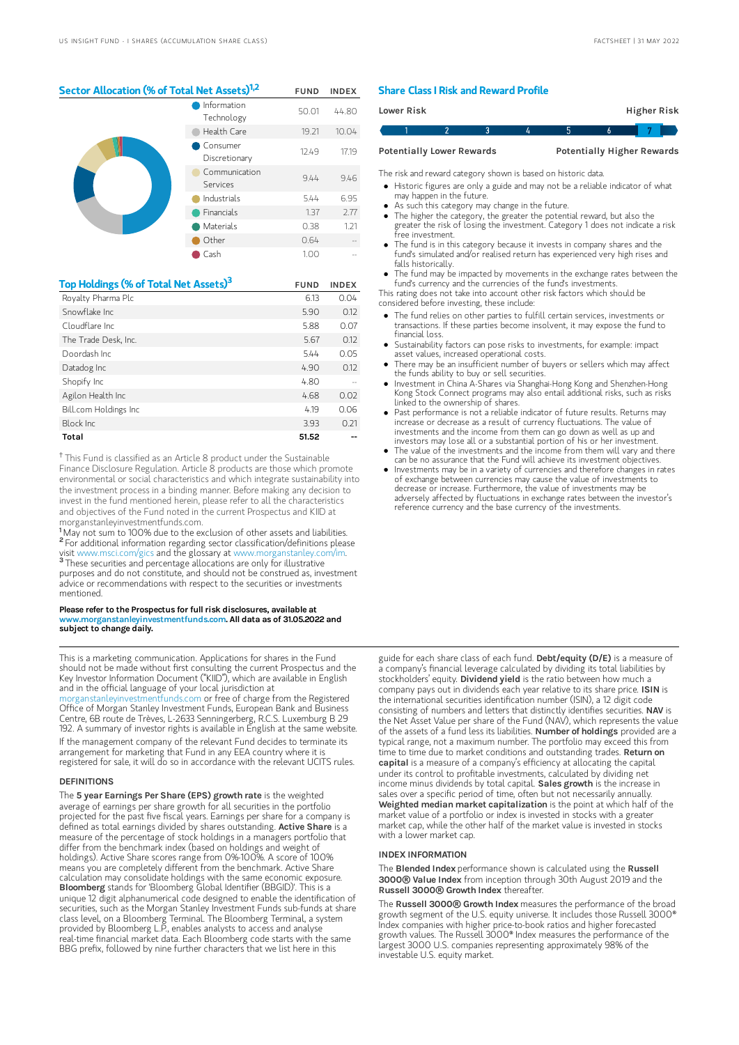#### Sector Allocation (% of Total Net Assets)<sup>1,2</sup> FUND INDEX

|  | Information<br>Technology | 50.01 | 44.80 |
|--|---------------------------|-------|-------|
|  | Health Care               | 19.21 | 10.04 |
|  | Consumer<br>Discretionary | 12.49 | 17.19 |
|  | Communication<br>Services | 9.44  | 9.46  |
|  | Industrials               | 5.44  | 6.95  |
|  | Financials                | 1.37  | 2.77  |
|  | Materials                 | 0.38  | 1.21  |
|  | Other                     | 0.64  |       |
|  | Cash                      | 1.00  |       |

| Top Holdings (% of Total Net Assets) <sup>3</sup> | <b>FUND</b> | <b>INDEX</b> |
|---------------------------------------------------|-------------|--------------|
| Royalty Pharma Plc                                | 6.13        | 0.04         |
| Snowflake Inc.                                    | 5.90        | 0.12         |
| Cloudflare Inc.                                   | 5.88        | 0.07         |
| The Trade Desk, Inc.                              | 5.67        | 0.12         |
| Doordash Inc.                                     | 5.44        | 0.05         |
| Datadog Inc                                       | 4.90        | 0.12         |
| Shopify Inc                                       | 4.80        |              |
| Agilon Health Inc                                 | 4.68        | 0.02         |
| Bill.com Holdings Inc                             | 4.19        | 0.06         |
| Block Inc.                                        | 3.93        | 0.21         |
| Total                                             | 51.52       |              |

<sup>†</sup> This Fund is classified as an Article 8 product under the Sustainable Finance Disclosure Regulation. Article 8 products are those which promote environmental or social characteristics and which integrate sustainability into the investment process in a binding manner. Before making any decision to invest in the fund mentioned herein, please refer to all the characteristics and objectives of the Fund noted in the current Prospectus and KIID at morganstanleyinvestmentfunds.com.

<sup>1</sup>May not sum to 100% due to the exclusion of other assets and liabilities. <sup>2</sup> For additional information regarding sector classification/definitions please visit www.msci.com/gics and the glossary at www.morganstanley.com/im. <sup>3</sup> These securities and percentage allocations are only for illustrative purposes and do not constitute, and should not be construed as, investment advice or recommendations with respect to the securities or investments mentioned.

Please refer to the Prospectus for full risk disclosures, available at www.morganstanleyinvestmentfunds.com. All data as of 31.05.2022 and subject to change daily.

This is a marketing communication. Applications for shares in the Fund should not be made without first consulting the current Prospectus and the Key Investor Information Document ("KIID"), which are available in English and in the official language of your local jurisdiction at [morganstanleyinvestmentfunds.com](https://www.morganstanley.com/im/msinvf/index.html) or free of charge from the Registered Office of Morgan Stanley Investment Funds, European Bank and Business Centre, 6B route de Trèves, L-2633 Senningerberg, R.C.S. Luxemburg B 29 192. A summary of investor rights is available in English at the same website. If the management company of the relevant Fund decides to terminate its

arrangement for marketing that Fund in any EEA country where it is registered for sale, it will do so in accordance with the relevant UCITS rules.

#### DEFINITIONS

The 5 year Earnings Per Share (EPS) growth rate is the weighted average of earnings per share growth for all securities in the portfolio projected for the past five fiscal years. Earnings per share for a company is defined as total earnings divided by shares outstanding. Active Share is a measure of the percentage of stock holdings in a managers portfolio that differ from the benchmark index (based on holdings and weight of holdings). Active Share scores range from 0%-100%. A score of 100% means you are completely different from the benchmark. Active Share calculation may consolidate holdings with the same economic exposure. Bloomberg stands for 'Bloomberg Global Identifier (BBGID)'. This is a unique 12 digit alphanumerical code designed to enable the identification of securities, such as the Morgan Stanley Investment Funds sub-funds at share class level, on a Bloomberg Terminal. The Bloomberg Terminal, a system provided by Bloomberg L.P., enables analysts to access and analyse real-time financial market data. Each Bloomberg code starts with the same BBG prefix, followed by nine further characters that we list here in this

#### Share Class I Risk and Reward Profile

| Lower Risk                                                            |  |  |  |  |  | Higher Risk |  |
|-----------------------------------------------------------------------|--|--|--|--|--|-------------|--|
|                                                                       |  |  |  |  |  |             |  |
| <b>Potentially Higher Rewards</b><br><b>Potentially Lower Rewards</b> |  |  |  |  |  |             |  |

The risk and reward category shown is based on historic data.

- Historic figures are only a guide and may not be a reliable indicator of what may happen in the future.
- As such this category may change in the future.
- The higher the category, the greater the potential reward, but also the greater the risk of losing the investment. Category 1 does not indicate a risk free investment.
- The fund is in this category because it invests in company shares and the fund's simulated and/or realised return has experienced very high rises and falls historically.
- The fund may be impacted by movements in the exchange rates between the fund's currency and the currencies of the fund's investments.

This rating does not take into account other risk factors which should be considered before investing, these include:

- The fund relies on other parties to fulfill certain services, investments or transactions. If these parties become insolvent, it may expose the fund to financial loss.
- Sustainability factors can pose risks to investments, for example: impact asset values, increased operational costs.
- There may be an insufficient number of buyers or sellers which may affect the funds ability to buy or sell securities.
- Investment in China A-Shares via Shanghai-Hong Kong and Shenzhen-Hong Kong Stock Connect programs may also entail additional risks, such as risks linked to the ownership of shares.
- Past performance is not a reliable indicator of future results. Returns may increase or decrease as a result of currency fluctuations. The value of investments and the income from them can go down as well as up and investors may lose all or a substantial portion of his or her investment.
- The value of the investments and the income from them will vary and there can be no assurance that the Fund will achieve its investment objectives.
- $\bullet$ Investments may be in a variety of currencies and therefore changes in rates of exchange between currencies may cause the value of investments to decrease or increase. Furthermore, the value of investments may be adversely affected by fluctuations in exchange rates between the investor's reference currency and the base currency of the investments.

guide for each share class of each fund. Debt/equity (D/E) is a measure of a company's financial leverage calculated by dividing its total liabilities by stockholders' equity. Dividend yield is the ratio between how much a company pays out in dividends each year relative to its share price. ISIN is the international securities identification number (ISIN), a 12 digit code consisting of numbers and letters that distinctly identifies securities. NAV is the Net Asset Value per share of the Fund (NAV), which represents the value of the assets of a fund less its liabilities. Number of holdings provided are a typical range, not a maximum number. The portfolio may exceed this from time to time due to market conditions and outstanding trades. Return on capital is a measure of a company's efficiency at allocating the capital under its control to profitable investments, calculated by dividing net income minus dividends by total capital. Sales growth is the increase in sales over a specific period of time, often but not necessarily annually. Weighted median market capitalization is the point at which half of the market value of a portfolio or index is invested in stocks with a greater market cap, while the other half of the market value is invested in stocks with a lower market cap.

#### INDEX INFORMATION

The Blended Index performance shown is calculated using the Russell 3000**®** Value Index from inception through 30th August 2019 and the Russell 3000**®** Growth Index thereafter.

The Russell 3000**®** Growth Index measures the performance of the broad growth segment of the U.S. equity universe. It includes those Russell 3000® Index companies with higher price-to-book ratios and higher forecasted growth values. The Russell 3000® Index measures the performance of the largest 3000 U.S. companies representing approximately 98% of the investable U.S. equity market.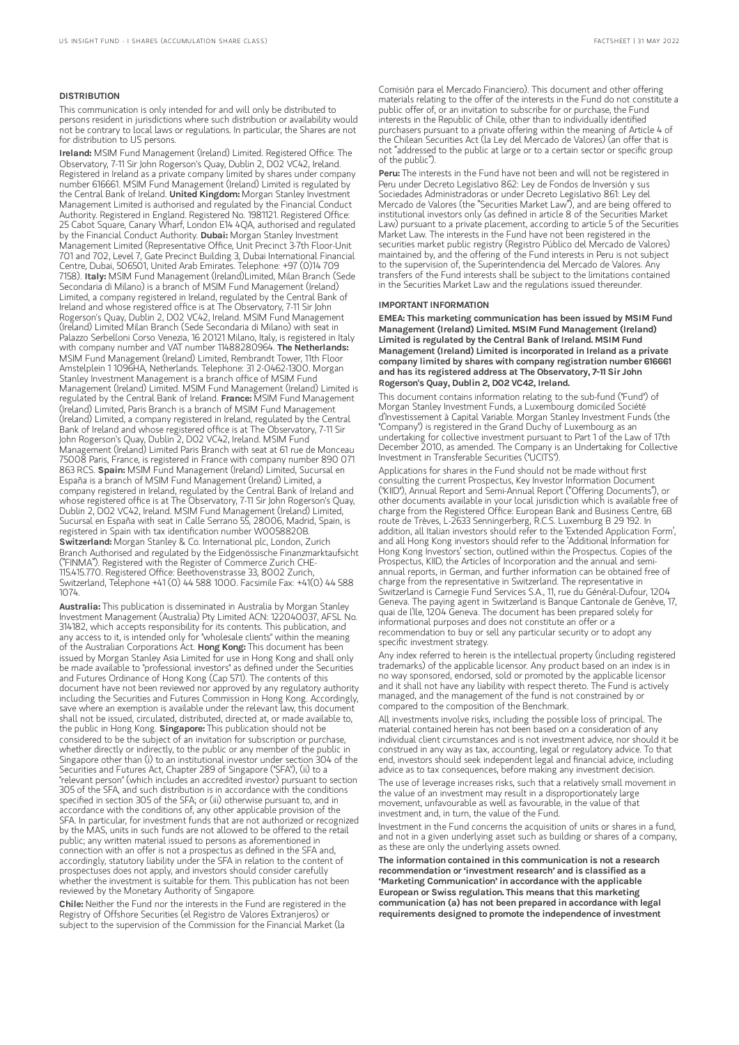#### DISTRIBUTION

This communication is only intended for and will only be distributed to persons resident in jurisdictions where such distribution or availability would not be contrary to local laws or regulations. In particular, the Shares are not for distribution to US persons.

Ireland: MSIM Fund Management (Ireland) Limited. Registered Office: The Observatory, 7-11 Sir John Rogerson's Quay, Dublin 2, D02 VC42, Ireland. Registered in Ireland as a private company limited by shares under company number 616661. MSIM Fund Management (Ireland) Limited is regulated by the Central Bank of Ireland. United Kingdom: Morgan Stanley Investment Management Limited is authorised and regulated by the Financial Conduct Authority. Registered in England. Registered No. 1981121. Registered Office: 25 Cabot Square, Canary Wharf, London E14 4QA, authorised and regulated by the Financial Conduct Authority. Dubai: Morgan Stanley Investment Management Limited (Representative Office, Unit Precinct 3-7th Floor-Unit 701 and 702, Level 7, Gate Precinct Building 3, Dubai International Financial Centre, Dubai, 506501, United Arab Emirates. Telephone: +97 (0)14 709<br>7158). I**taly:** MSIM Fund Management (Ireland)Limited, Milan Branch (Sede Secondaria di Milano) is a branch of MSIM Fund Management (Ireland) Limited, a company registered in Ireland, regulated by the Central Bank of Ireland and whose registered office is at The Observatory, 7-11 Sir John Rogerson's Quay, Dublin 2, D02 VC42, Ireland. MSIM Fund Management (Ireland) Limited Milan Branch (Sede Secondaria di Milano) with seat in Palazzo Serbelloni Corso Venezia, 16 20121 Milano, Italy, is registered in Italy with company number and VAT number 11488280964. The Netherlands: MSIM Fund Management (Ireland) Limited, Rembrandt Tower, 11th Floor Amstelplein 1 1096HA, Netherlands. Telephone: 31 2-0462-1300. Morgan Stanley Investment Management is a branch office of MSIM Fund Management (Ireland) Limited. MSIM Fund Management (Ireland) Limited is regulated by the Central Bank of Ireland. France: MSIM Fund Management (Ireland) Limited, Paris Branch is a branch of MSIM Fund Management (Ireland) Limited, a company registered in Ireland, regulated by the Central Bank of Ireland and whose registered office is at The Observatory, 7-11 Sir John Rogerson's Quay, Dublin 2, D02 VC42, Ireland. MSIM Fund Management (Ireland) Limited Paris Branch with seat at 61 rue de Monceau 75008 Paris, France, is registered in France with company number 890 071 863 RCS. Spain: MSIM Fund Management (Ireland) Limited, Sucursal en España is a branch of MSIM Fund Management (Ireland) Limited, a company registered in Ireland, regulated by the Central Bank of Ireland and whose registered office is at The Observatory, 7-11 Sir John Rogerson's Quay, Dublin 2, D02 VC42, Ireland. MSIM Fund Management (Ireland) Limited, Sucursal en España with seat in Calle Serrano 55, 28006, Madrid, Spain, is registered in Spain with tax identification number W0058820B. Switzerland: Morgan Stanley & Co. International plc, London, Zurich Branch Authorised and regulated by the Eidgenössische Finanzmarktaufsicht ("FINMA"). Registered with the Register of Commerce Zurich CHE-115.415.770. Registered Office: Beethovenstrasse 33, 8002 Zurich, Switzerland, Telephone +41 (0) 44 588 1000. Facsimile Fax: +41(0) 44 588 1074.

Australia: This publication is disseminated in Australia by Morgan Stanley Investment Management (Australia) Pty Limited ACN: 122040037, AFSL No. 314182, which accepts responsibility for its contents. This publication, and any access to it, is intended only for "wholesale clients" within the meaning of the Australian Corporations Act. Hong Kong: This document has been issued by Morgan Stanley Asia Limited for use in Hong Kong and shall only be made available to "professional investors" as defined under the Securities and Futures Ordinance of Hong Kong (Cap 571). The contents of this document have not been reviewed nor approved by any regulatory authority including the Securities and Futures Commission in Hong Kong. Accordingly, save where an exemption is available under the relevant law, this document shall not be issued, circulated, distributed, directed at, or made available to, the public in Hong Kong. Singapore: This publication should not be considered to be the subject of an invitation for subscription or purchase, whether directly or indirectly, to the public or any member of the public in Singapore other than (i) to an institutional investor under section 304 of the Securities and Futures Act, Chapter 289 of Singapore ("SFA"), (ii) to a "relevant person" (which includes an accredited investor) pursuant to section 305 of the SFA, and such distribution is in accordance with the conditions specified in section 305 of the SFA; or (iii) otherwise pursuant to, and in accordance with the conditions of, any other applicable provision of the SFA. In particular, for investment funds that are not authorized or recognized by the MAS, units in such funds are not allowed to be offered to the retail public; any written material issued to persons as aforementioned in connection with an offer is not a prospectus as defined in the SFA and, accordingly, statutory liability under the SFA in relation to the content of prospectuses does not apply, and investors should consider carefully whether the investment is suitable for them. This publication has not been reviewed by the Monetary Authority of Singapore.

Chile: Neither the Fund nor the interests in the Fund are registered in the Registry of Offshore Securities (el Registro de Valores Extranjeros) or subject to the supervision of the Commission for the Financial Market (la

Comisión para el Mercado Financiero). This document and other offering materials relating to the offer of the interests in the Fund do not constitute a public offer of, or an invitation to subscribe for or purchase, the Fund interests in the Republic of Chile, other than to individually identified purchasers pursuant to a private offering within the meaning of Article 4 of the Chilean Securities Act (la Ley del Mercado de Valores) (an offer that is not "addressed to the public at large or to a certain sector or specific group of the public").

Peru: The interests in the Fund have not been and will not be registered in Peru under Decreto Legislativo 862: Ley de Fondos de Inversión y sus Sociedades Administradoras or under Decreto Legislativo 861: Ley del Mercado de Valores (the "Securities Market Law"), and are being offered to institutional investors only (as defined in article 8 of the Securities Market Law) pursuant to a private placement, according to article 5 of the Securities Market Law. The interests in the Fund have not been registered in the securities market public registry (Registro Público del Mercado de Valores) maintained by, and the offering of the Fund interests in Peru is not subject to the supervision of, the Superintendencia del Mercado de Valores. Any transfers of the Fund interests shall be subject to the limitations contained in the Securities Market Law and the regulations issued thereunder.

#### IMPORTANT INFORMATION

EMEA: This marketing communication has been issued by MSIM Fund Management (Ireland) Limited. MSIM Fund Management (Ireland) Limited is regulated by the Central Bank of Ireland. MSIM Fund Management (Ireland) Limited is incorporated in Ireland as a private company limited by shares with company registration number 616661 and has its registered address at The Observatory, 7-11 Sir John Rogerson's Quay, Dublin 2, D02 VC42, Ireland.

This document contains information relating to the sub-fund ("Fund") of Morgan Stanley Investment Funds, a Luxembourg domiciled Société d'Investissement à Capital Variable. Morgan Stanley Investment Funds (the "Company") is registered in the Grand Duchy of Luxembourg as an undertaking for collective investment pursuant to Part 1 of the Law of 17th December 2010, as amended. The Company is an Undertaking for Collective Investment in Transferable Securities ("UCITS").

Applications for shares in the Fund should not be made without first consulting the current Prospectus, Key Investor Information Document ("KIID"), Annual Report and Semi-Annual Report ("Offering Documents"), or other documents available in your local jurisdiction which is available free of charge from the Registered Office: European Bank and Business Centre, 6B route de Trèves, L-2633 Senningerberg, R.C.S. Luxemburg B 29 192. In addition, all Italian investors should refer to the 'Extended Application Form', and all Hong Kong investors should refer to the 'Additional Information for Hong Kong Investors' section, outlined within the Prospectus. Copies of the Prospectus, KIID, the Articles of Incorporation and the annual and semiannual reports, in German, and further information can be obtained free of charge from the representative in Switzerland. The representative in Switzerland is Carnegie Fund Services S.A., 11, rue du Général-Dufour, 1204 Geneva. The paying agent in Switzerland is Banque Cantonale de Genève, 17, quai de l'Ile, 1204 Geneva. The document has been prepared solely for informational purposes and does not constitute an offer or a recommendation to buy or sell any particular security or to adopt any specific investment strategy.

Any index referred to herein is the intellectual property (including registered trademarks) of the applicable licensor. Any product based on an index is in no way sponsored, endorsed, sold or promoted by the applicable licensor and it shall not have any liability with respect thereto. The Fund is actively managed, and the management of the fund is not constrained by or compared to the composition of the Benchmark.

All investments involve risks, including the possible loss of principal. The material contained herein has not been based on a consideration of any individual client circumstances and is not investment advice, nor should it be construed in any way as tax, accounting, legal or regulatory advice. To that end, investors should seek independent legal and financial advice, including advice as to tax consequences, before making any investment decision.

The use of leverage increases risks, such that a relatively small movement in the value of an investment may result in a disproportionately large movement, unfavourable as well as favourable, in the value of that investment and, in turn, the value of the Fund.

Investment in the Fund concerns the acquisition of units or shares in a fund, and not in a given underlying asset such as building or shares of a company, as these are only the underlying assets owned.

The information contained in this communication is not a research recommendation or 'investment research' and is classified as a 'Marketing Communication' in accordance with the applicable European or Swiss regulation. This means that this marketing communication (a) has not been prepared in accordance with legal requirements designed to promote the independence of investment